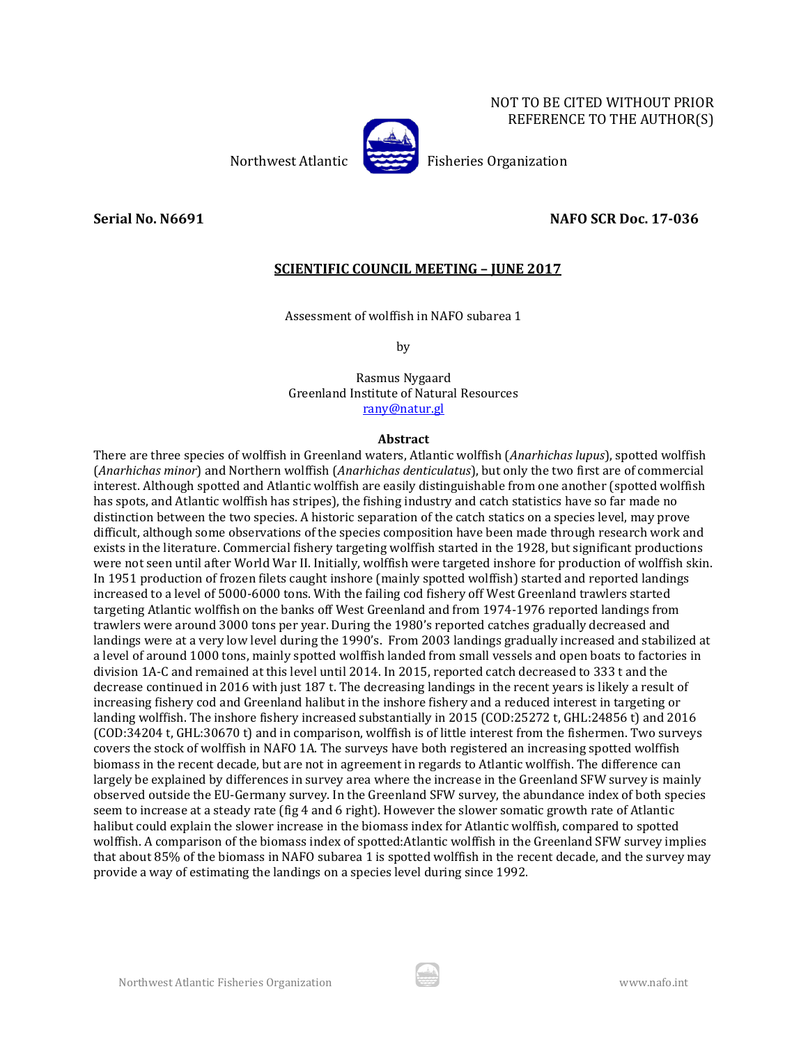NOT TO BE CITED WITHOUT PRIOR REFERENCE TO THE AUTHOR(S)

Northwest Atlantic Fisheries Organization

# **Serial No. N6691 NAFO SCR Doc. 17-036**

# **SCIENTIFIC COUNCIL MEETING – JUNE 2017**

Assessment of wolffish in NAFO subarea 1

by

Rasmus Nygaard Greenland Institute of Natural Resources [rany@natur.gl](mailto:rany@natur.gl)

#### **Abstract**

There are three species of wolffish in Greenland waters, Atlantic wolffish (*Anarhichas lupus*), spotted wolffish (*Anarhichas minor*) and Northern wolffish (*Anarhichas denticulatus*), but only the two first are of commercial interest. Although spotted and Atlantic wolffish are easily distinguishable from one another (spotted wolffish has spots, and Atlantic wolffish has stripes), the fishing industry and catch statistics have so far made no distinction between the two species. A historic separation of the catch statics on a species level, may prove difficult, although some observations of the species composition have been made through research work and exists in the literature. Commercial fishery targeting wolffish started in the 1928, but significant productions were not seen until after World War II. Initially, wolffish were targeted inshore for production of wolffish skin. In 1951 production of frozen filets caught inshore (mainly spotted wolffish) started and reported landings increased to a level of 5000-6000 tons. With the failing cod fishery off West Greenland trawlers started targeting Atlantic wolffish on the banks off West Greenland and from 1974-1976 reported landings from trawlers were around 3000 tons per year. During the 1980's reported catches gradually decreased and landings were at a very low level during the 1990's. From 2003 landings gradually increased and stabilized at a level of around 1000 tons, mainly spotted wolffish landed from small vessels and open boats to factories in division 1A-C and remained at this level until 2014. In 2015, reported catch decreased to 333 t and the decrease continued in 2016 with just 187 t. The decreasing landings in the recent years is likely a result of increasing fishery cod and Greenland halibut in the inshore fishery and a reduced interest in targeting or landing wolffish. The inshore fishery increased substantially in 2015 (COD:25272 t, GHL:24856 t) and 2016 (COD:34204 t, GHL:30670 t) and in comparison, wolffish is of little interest from the fishermen. Two surveys covers the stock of wolffish in NAFO 1A. The surveys have both registered an increasing spotted wolffish biomass in the recent decade, but are not in agreement in regards to Atlantic wolffish. The difference can largely be explained by differences in survey area where the increase in the Greenland SFW survey is mainly observed outside the EU-Germany survey. In the Greenland SFW survey, the abundance index of both species seem to increase at a steady rate (fig 4 and 6 right). However the slower somatic growth rate of Atlantic halibut could explain the slower increase in the biomass index for Atlantic wolffish, compared to spotted wolffish. A comparison of the biomass index of spotted:Atlantic wolffish in the Greenland SFW survey implies that about 85% of the biomass in NAFO subarea 1 is spotted wolffish in the recent decade, and the survey may provide a way of estimating the landings on a species level during since 1992.

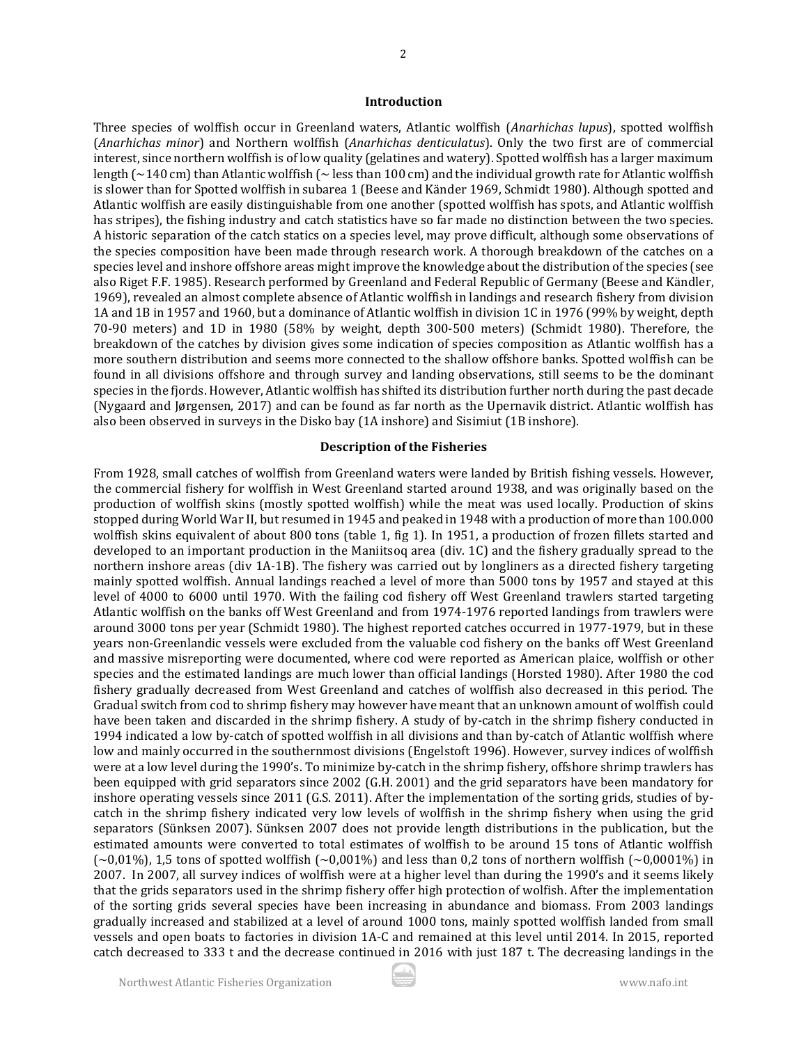#### **Introduction**

Three species of wolffish occur in Greenland waters, Atlantic wolffish (*Anarhichas lupus*), spotted wolffish (*Anarhichas minor*) and Northern wolffish (*Anarhichas denticulatus*). Only the two first are of commercial interest, since northern wolffish is of low quality (gelatines and watery). Spotted wolffish has a larger maximum length ( $\sim$ 140 cm) than Atlantic wolffish ( $\sim$  less than 100 cm) and the individual growth rate for Atlantic wolffish is slower than for Spotted wolffish in subarea 1 (Beese and Känder 1969, Schmidt 1980). Although spotted and Atlantic wolffish are easily distinguishable from one another (spotted wolffish has spots, and Atlantic wolffish has stripes), the fishing industry and catch statistics have so far made no distinction between the two species. A historic separation of the catch statics on a species level, may prove difficult, although some observations of the species composition have been made through research work. A thorough breakdown of the catches on a species level and inshore offshore areas might improve the knowledge about the distribution of the species (see also Riget F.F. 1985). Research performed by Greenland and Federal Republic of Germany (Beese and Kändler, 1969), revealed an almost complete absence of Atlantic wolffish in landings and research fishery from division 1A and 1B in 1957 and 1960, but a dominance of Atlantic wolffish in division 1C in 1976 (99% by weight, depth 70-90 meters) and 1D in 1980 (58% by weight, depth 300-500 meters) (Schmidt 1980). Therefore, the breakdown of the catches by division gives some indication of species composition as Atlantic wolffish has a more southern distribution and seems more connected to the shallow offshore banks. Spotted wolffish can be found in all divisions offshore and through survey and landing observations, still seems to be the dominant species in the fjords. However, Atlantic wolffish has shifted its distribution further north during the past decade (Nygaard and Jørgensen, 2017) and can be found as far north as the Upernavik district. Atlantic wolffish has also been observed in surveys in the Disko bay (1A inshore) and Sisimiut (1B inshore).

## **Description of the Fisheries**

From 1928, small catches of wolffish from Greenland waters were landed by British fishing vessels. However, the commercial fishery for wolffish in West Greenland started around 1938, and was originally based on the production of wolffish skins (mostly spotted wolffish) while the meat was used locally. Production of skins stopped during World War II, but resumed in 1945 and peaked in 1948 with a production of more than 100.000 wolffish skins equivalent of about 800 tons (table 1, fig 1). In 1951, a production of frozen fillets started and developed to an important production in the Maniitsoq area (div. 1C) and the fishery gradually spread to the northern inshore areas (div 1A-1B). The fishery was carried out by longliners as a directed fishery targeting mainly spotted wolffish. Annual landings reached a level of more than 5000 tons by 1957 and stayed at this level of 4000 to 6000 until 1970. With the failing cod fishery off West Greenland trawlers started targeting Atlantic wolffish on the banks off West Greenland and from 1974-1976 reported landings from trawlers were around 3000 tons per year (Schmidt 1980). The highest reported catches occurred in 1977-1979, but in these years non-Greenlandic vessels were excluded from the valuable cod fishery on the banks off West Greenland and massive misreporting were documented, where cod were reported as American plaice, wolffish or other species and the estimated landings are much lower than official landings (Horsted 1980). After 1980 the cod fishery gradually decreased from West Greenland and catches of wolffish also decreased in this period. The Gradual switch from cod to shrimp fishery may however have meant that an unknown amount of wolffish could have been taken and discarded in the shrimp fishery. A study of by-catch in the shrimp fishery conducted in 1994 indicated a low by-catch of spotted wolffish in all divisions and than by-catch of Atlantic wolffish where low and mainly occurred in the southernmost divisions (Engelstoft 1996). However, survey indices of wolffish were at a low level during the 1990's. To minimize by-catch in the shrimp fishery, offshore shrimp trawlers has been equipped with grid separators since 2002 (G.H. 2001) and the grid separators have been mandatory for inshore operating vessels since 2011 (G.S. 2011). After the implementation of the sorting grids, studies of bycatch in the shrimp fishery indicated very low levels of wolffish in the shrimp fishery when using the grid separators (Sünksen 2007). Sünksen 2007 does not provide length distributions in the publication, but the estimated amounts were converted to total estimates of wolffish to be around 15 tons of Atlantic wolffish  $(-0.01\%)$ , 1,5 tons of spotted wolffish  $(-0.001\%)$  and less than 0,2 tons of northern wolffish  $(-0.0001\%)$  in 2007. In 2007, all survey indices of wolffish were at a higher level than during the 1990's and it seems likely that the grids separators used in the shrimp fishery offer high protection of wolfish. After the implementation of the sorting grids several species have been increasing in abundance and biomass. From 2003 landings gradually increased and stabilized at a level of around 1000 tons, mainly spotted wolffish landed from small vessels and open boats to factories in division 1A-C and remained at this level until 2014. In 2015, reported catch decreased to 333 t and the decrease continued in 2016 with just 187 t. The decreasing landings in the

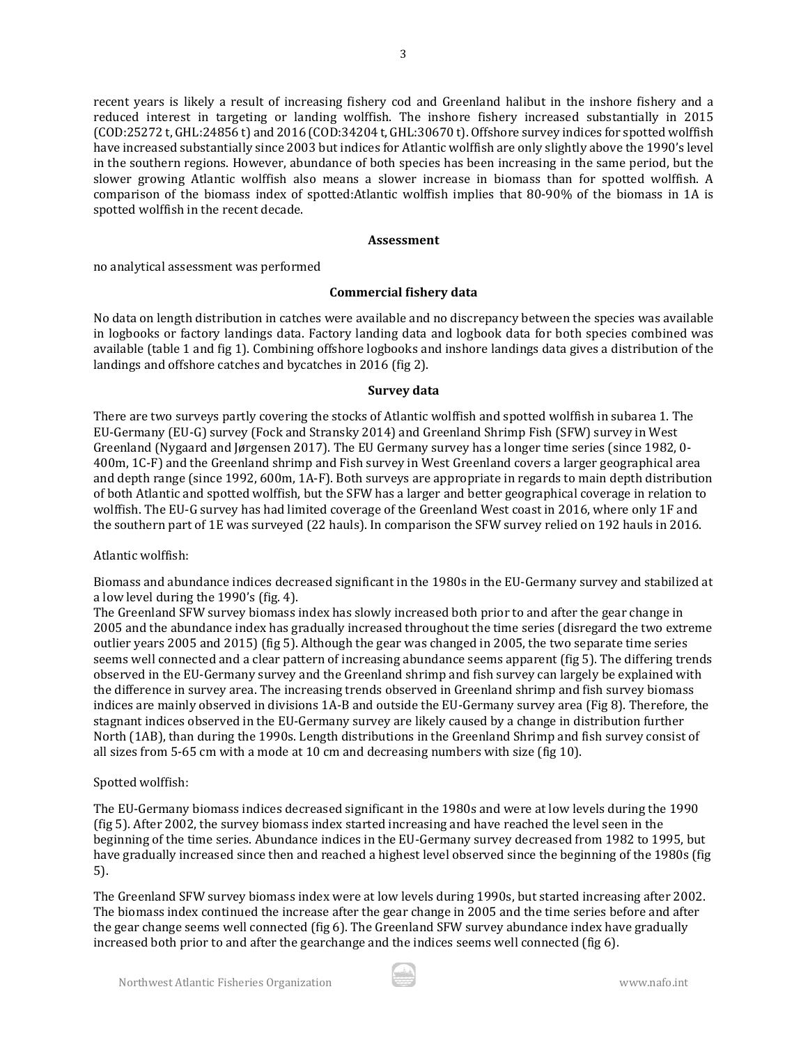recent years is likely a result of increasing fishery cod and Greenland halibut in the inshore fishery and a reduced interest in targeting or landing wolffish. The inshore fishery increased substantially in 2015 (COD:25272 t, GHL:24856 t) and 2016 (COD:34204 t, GHL:30670 t). Offshore survey indices for spotted wolffish have increased substantially since 2003 but indices for Atlantic wolffish are only slightly above the 1990's level in the southern regions. However, abundance of both species has been increasing in the same period, but the slower growing Atlantic wolffish also means a slower increase in biomass than for spotted wolffish. A comparison of the biomass index of spotted:Atlantic wolffish implies that 80-90% of the biomass in 1A is spotted wolffish in the recent decade.

## **Assessment**

no analytical assessment was performed

# **Commercial fishery data**

No data on length distribution in catches were available and no discrepancy between the species was available in logbooks or factory landings data. Factory landing data and logbook data for both species combined was available (table 1 and fig 1). Combining offshore logbooks and inshore landings data gives a distribution of the landings and offshore catches and bycatches in 2016 (fig 2).

# **Survey data**

There are two surveys partly covering the stocks of Atlantic wolffish and spotted wolffish in subarea 1. The EU-Germany (EU-G) survey (Fock and Stransky 2014) and Greenland Shrimp Fish (SFW) survey in West Greenland (Nygaard and Jørgensen 2017). The EU Germany survey has a longer time series (since 1982, 0- 400m, 1C-F) and the Greenland shrimp and Fish survey in West Greenland covers a larger geographical area and depth range (since 1992, 600m, 1A-F). Both surveys are appropriate in regards to main depth distribution of both Atlantic and spotted wolffish, but the SFW has a larger and better geographical coverage in relation to wolffish. The EU-G survey has had limited coverage of the Greenland West coast in 2016, where only 1F and the southern part of 1E was surveyed (22 hauls). In comparison the SFW survey relied on 192 hauls in 2016.

# Atlantic wolffish:

Biomass and abundance indices decreased significant in the 1980s in the EU-Germany survey and stabilized at a low level during the 1990's (fig. 4).

The Greenland SFW survey biomass index has slowly increased both prior to and after the gear change in 2005 and the abundance index has gradually increased throughout the time series (disregard the two extreme outlier years 2005 and 2015) (fig 5). Although the gear was changed in 2005, the two separate time series seems well connected and a clear pattern of increasing abundance seems apparent (fig 5). The differing trends observed in the EU-Germany survey and the Greenland shrimp and fish survey can largely be explained with the difference in survey area. The increasing trends observed in Greenland shrimp and fish survey biomass indices are mainly observed in divisions 1A-B and outside the EU-Germany survey area (Fig 8). Therefore, the stagnant indices observed in the EU-Germany survey are likely caused by a change in distribution further North (1AB), than during the 1990s. Length distributions in the Greenland Shrimp and fish survey consist of all sizes from 5-65 cm with a mode at 10 cm and decreasing numbers with size (fig 10).

#### Spotted wolffish:

The EU-Germany biomass indices decreased significant in the 1980s and were at low levels during the 1990 (fig 5). After 2002, the survey biomass index started increasing and have reached the level seen in the beginning of the time series. Abundance indices in the EU-Germany survey decreased from 1982 to 1995, but have gradually increased since then and reached a highest level observed since the beginning of the 1980s (fig 5).

The Greenland SFW survey biomass index were at low levels during 1990s, but started increasing after 2002. The biomass index continued the increase after the gear change in 2005 and the time series before and after the gear change seems well connected (fig 6). The Greenland SFW survey abundance index have gradually increased both prior to and after the gearchange and the indices seems well connected (fig 6).

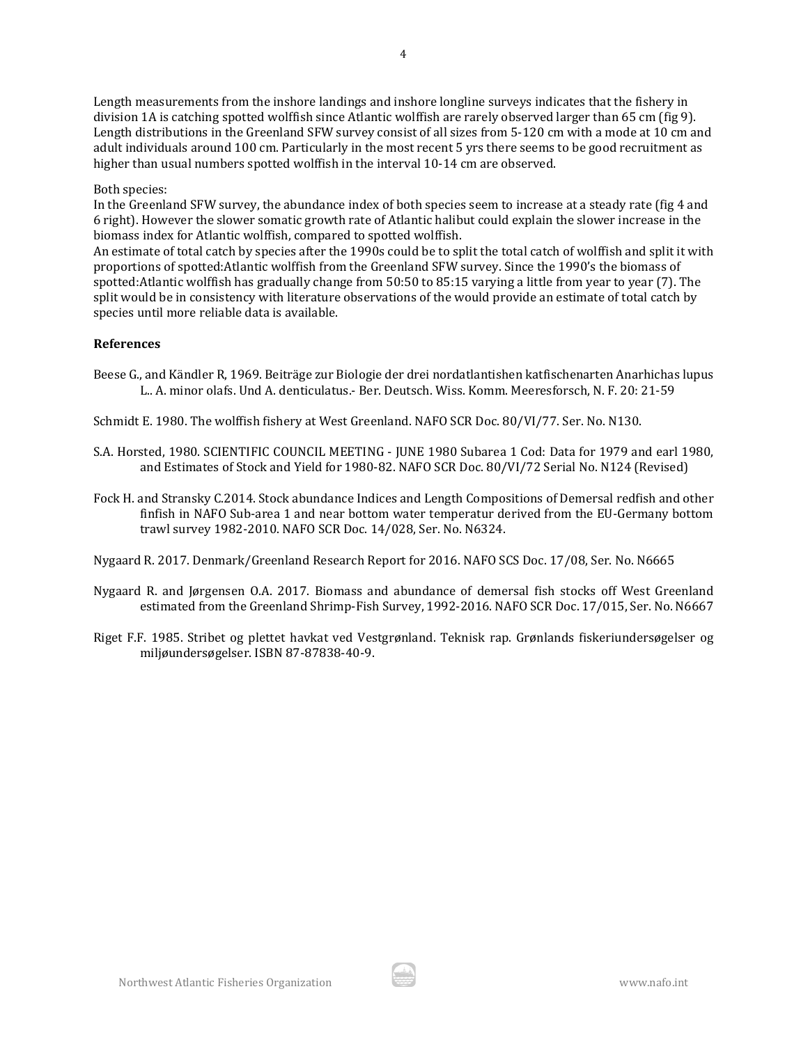Length measurements from the inshore landings and inshore longline surveys indicates that the fishery in division 1A is catching spotted wolffish since Atlantic wolffish are rarely observed larger than 65 cm (fig 9). Length distributions in the Greenland SFW survey consist of all sizes from 5-120 cm with a mode at 10 cm and adult individuals around 100 cm. Particularly in the most recent 5 yrs there seems to be good recruitment as higher than usual numbers spotted wolffish in the interval 10-14 cm are observed.

## Both species:

In the Greenland SFW survey, the abundance index of both species seem to increase at a steady rate (fig 4 and 6 right). However the slower somatic growth rate of Atlantic halibut could explain the slower increase in the biomass index for Atlantic wolffish, compared to spotted wolffish.

An estimate of total catch by species after the 1990s could be to split the total catch of wolffish and split it with proportions of spotted:Atlantic wolffish from the Greenland SFW survey. Since the 1990's the biomass of spotted:Atlantic wolffish has gradually change from 50:50 to 85:15 varying a little from year to year (7). The split would be in consistency with literature observations of the would provide an estimate of total catch by species until more reliable data is available.

# **References**

Beese G., and Kändler R, 1969. Beiträge zur Biologie der drei nordatlantishen katfischenarten Anarhichas lupus L.. A. minor olafs. Und A. denticulatus.- Ber. Deutsch. Wiss. Komm. Meeresforsch, N. F. 20: 21-59

Schmidt E. 1980. The wolffish fishery at West Greenland. NAFO SCR Doc. 80/VI/77. Ser. No. N130.

- S.A. Horsted, 1980. SCIENTIFIC COUNCIL MEETING JUNE 1980 Subarea 1 Cod: Data for 1979 and earl 1980, and Estimates of Stock and Yield for 1980-82. NAFO SCR Doc. 80/VI/72 Serial No. N124 (Revised)
- Fock H. and Stransky C.2014. Stock abundance Indices and Length Compositions of Demersal redfish and other finfish in NAFO Sub-area 1 and near bottom water temperatur derived from the EU-Germany bottom trawl survey 1982-2010. NAFO SCR Doc. 14/028, Ser. No. N6324.

Nygaard R. 2017. Denmark/Greenland Research Report for 2016. NAFO SCS Doc. 17/08, Ser. No. N6665

- Nygaard R. and Jørgensen O.A. 2017. Biomass and abundance of demersal fish stocks off West Greenland estimated from the Greenland Shrimp-Fish Survey, 1992-2016. NAFO SCR Doc. 17/015, Ser. No. N6667
- Riget F.F. 1985. Stribet og plettet havkat ved Vestgrønland. Teknisk rap. Grønlands fiskeriundersøgelser og miljøundersøgelser. ISBN 87-87838-40-9.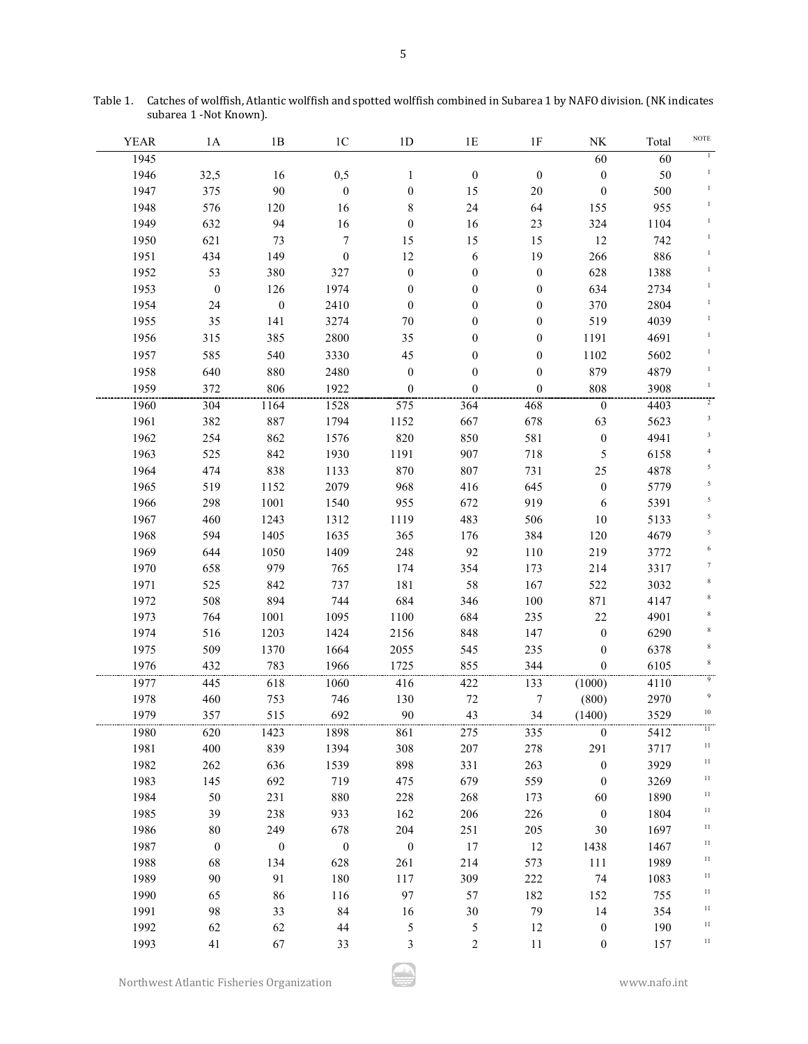| <b>YEAR</b> | 1A               | 1B                       | 1 <sup>C</sup>           | 1D                       | 1E                    | 1F               | NK               | Total | $\operatorname{NOTE}$ |
|-------------|------------------|--------------------------|--------------------------|--------------------------|-----------------------|------------------|------------------|-------|-----------------------|
| 1945        |                  |                          |                          |                          |                       |                  | 60               | 60    | $\mathbf{I}$          |
| 1946        | 32,5             | 16                       | 0,5                      | $\mathbf{1}$             | $\boldsymbol{0}$      | $\boldsymbol{0}$ | $\boldsymbol{0}$ | 50    | $\,1\,$               |
| 1947        | 375              | 90                       | $\boldsymbol{0}$         | $\boldsymbol{0}$         | 15                    | $20\,$           | $\boldsymbol{0}$ | 500   | $\mathbf{1}$          |
| 1948        | 576              | 120                      | 16                       | $\,$ $\,$                | 24                    | 64               | 155              | 955   | $\mathbf{1}$          |
| 1949        | 632              | 94                       | 16                       | $\boldsymbol{0}$         | 16                    | 23               | 324              | 1104  |                       |
| 1950        | 621              | 73                       | $\boldsymbol{7}$         | 15                       | 15                    | 15               | 12               | 742   |                       |
| 1951        | 434              | 149                      |                          | $12\,$                   |                       | 19               | 266              | 886   |                       |
| 1952        | 53               | 380                      | $\boldsymbol{0}$<br>327  | $\boldsymbol{0}$         | 6<br>$\boldsymbol{0}$ | $\boldsymbol{0}$ | 628              | 1388  |                       |
| 1953        | $\boldsymbol{0}$ | 126                      | 1974                     |                          |                       |                  | 634              | 2734  |                       |
| 1954        | 24               | $\boldsymbol{0}$         | 2410                     | $\boldsymbol{0}$         | $\boldsymbol{0}$      | $\boldsymbol{0}$ | 370              | 2804  |                       |
|             |                  |                          |                          | $\boldsymbol{0}$         | $\boldsymbol{0}$      | $\boldsymbol{0}$ |                  | 4039  |                       |
| 1955        | 35               | 141                      | 3274                     | $70\,$                   | $\boldsymbol{0}$      | $\boldsymbol{0}$ | 519              |       |                       |
| 1956        | 315              | 385                      | 2800                     | 35                       | $\boldsymbol{0}$      | $\boldsymbol{0}$ | 1191             | 4691  |                       |
| 1957        | 585              | 540                      | 3330                     | 45                       | $\boldsymbol{0}$      | $\boldsymbol{0}$ | 1102             | 5602  | $\mathbf{1}$          |
| 1958        | 640              | 880                      | 2480                     | $\boldsymbol{0}$         | $\boldsymbol{0}$      | $\boldsymbol{0}$ | 879              | 4879  |                       |
| 1959        | 372              | 806                      | 1922                     | $\boldsymbol{0}$         | $\boldsymbol{0}$      | $\boldsymbol{0}$ | 808              | 3908  | -1                    |
| 1960        | 304              | 1164                     | 1528                     | 575                      | 364                   | 468              | $\boldsymbol{0}$ | 4403  | $\,2$                 |
| 1961        | 382              | 887                      | 1794                     | 1152                     | 667                   | 678              | 63               | 5623  | $\sqrt{3}$            |
| 1962        | 254              | 862                      | 1576                     | 820                      | 850                   | 581              | $\boldsymbol{0}$ | 4941  | 3                     |
| 1963        | 525              | 842                      | 1930                     | 1191                     | 907                   | 718              | 5                | 6158  |                       |
| 1964        | 474              | 838                      | 1133                     | 870                      | 807                   | 731              | 25               | 4878  | 5                     |
| 1965        | 519              | 1152                     | 2079                     | 968                      | 416                   | 645              | $\boldsymbol{0}$ | 5779  | 5                     |
| 1966        | 298              | 1001                     | 1540                     | 955                      | 672                   | 919              | 6                | 5391  | 5                     |
| 1967        | 460              | 1243                     | 1312                     | 1119                     | 483                   | 506              | $10\,$           | 5133  | 5                     |
| 1968        | 594              | 1405                     | 1635                     | 365                      | 176                   | 384              | 120              | 4679  | 5                     |
| 1969        | 644              | 1050                     | 1409                     | 248                      | 92                    | 110              | 219              | 3772  | 6                     |
| 1970        | 658              | 979                      | 765                      | 174                      | 354                   | 173              | 214              | 3317  | 7                     |
| 1971        | 525              | 842                      | 737                      | 181                      | 58                    | 167              | 522              | 3032  | $\,$ 8 $\,$           |
| 1972        | 508              | 894                      | 744                      | 684                      | 346                   | 100              | 871              | 4147  | $\,$ 8 $\,$           |
| 1973        | 764              | 1001                     | 1095                     | 1100                     | 684                   | 235              | $22\,$           | 4901  |                       |
| 1974        | 516              | 1203                     | 1424                     | 2156                     | 848                   | 147              | $\boldsymbol{0}$ | 6290  | 8                     |
| 1975        | 509              | 1370                     | 1664                     | 2055                     | 545                   | 235              | $\boldsymbol{0}$ | 6378  | 8                     |
| 1976        | 432              | 783                      | 1966                     | 1725                     | 855                   | 344              | $\boldsymbol{0}$ | 6105  | 8                     |
| 1977        | 445              | 618                      | 1060                     | 416                      | 422                   | 133              | (1000)           | 4110  | $\overline{9}$        |
| 1978        | 460              | 753                      | 746                      | 130                      | $72\,$                | $\boldsymbol{7}$ | (800)            | 2970  | $\boldsymbol{9}$      |
| 1979        | 357              | 515                      | 692                      | 90                       | 43                    | 34               | (1400)           | 3529  | $10\,$                |
| 1980        | 620              | 1423                     | 1898                     | 861                      | 275                   | 335              | $\mathbf{0}$     | 5412  | Τï                    |
| 1981        | 400              | 839                      | 1394                     | 308                      | 207                   | 278              | 291              | 3717  | 11                    |
| 1982        | 262              | 636                      | 1539                     | 898                      | 331                   | 263              | $\mathbf{0}$     | 3929  | 11                    |
| 1983        | 145              | 692                      | 719                      | 475                      | 679                   | 559              | $\mathbf{0}$     | 3269  | 11                    |
| 1984        | 50               | 231                      | 880                      | 228                      | 268                   | 173              | 60               | 1890  | 11                    |
| 1985        | 39               | 238                      | 933                      | 162                      | 206                   | 226              | $\bf{0}$         | 1804  | $11\,$                |
| 1986        | 80               | 249                      | 678                      | 204                      | 251                   | 205              | 30               | 1697  | $11\,$                |
| 1987        | $\mathbf{0}$     | $\overline{\phantom{0}}$ | $\overline{\phantom{0}}$ | $\overline{\phantom{0}}$ | 17                    | 12               | 1438             | 1467  | $11\,$                |
| 1988        | 68               | 134                      | 628                      | 261                      | 214                   | 573              | 111              | 1989  | $11\,$                |
| 1989        | 90               | 91                       | 180                      | 117                      | 309                   | 222              | 74               | 1083  | $11\,$                |
| 1990        | 65               | 86                       | 116                      | 97                       | 57                    | 182              | 152              | 755   | $11\,$                |
| 1991        | 98               | 33                       | 84                       | 16                       | 30                    | 79               | 14               | 354   | $11\,$                |
| 1992        | 62               | 62                       | 44                       | $\sqrt{5}$               | $\sqrt{5}$            | 12               | $\mathbf{0}$     | 190   | $11\,$                |
| 1993        | 41               | 67                       | 33                       | 3                        | $\overline{2}$        | 11               | $\bf{0}$         | 157   | 11                    |
|             |                  |                          |                          |                          |                       |                  |                  |       |                       |

Table 1. Catches of wolffish, Atlantic wolffish and spotted wolffish combined in Subarea 1 by NAFO division. (NK indicates subarea 1 -Not Known).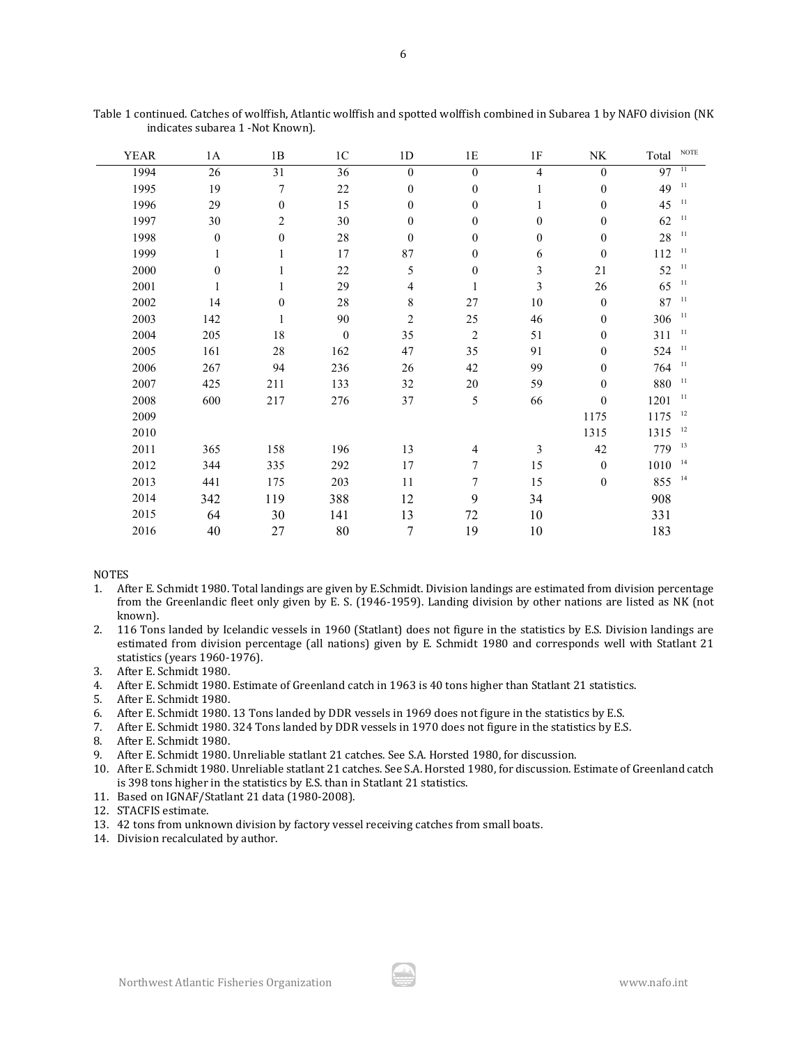| <b>YEAR</b> | 1A               | 1B               | 1 <sup>C</sup>   | $1\mathrm{D}$    | $1\mathrm{E}$    | $1\mathrm{F}$    | $\rm N K$        | Total           | <b>NOTE</b>     |
|-------------|------------------|------------------|------------------|------------------|------------------|------------------|------------------|-----------------|-----------------|
| 1994        | 26               | 31               | 36               | $\theta$         | $\theta$         | $\overline{4}$   | $\mathbf{0}$     | $\overline{97}$ | $\overline{11}$ |
| 1995        | 19               | 7                | 22               | $\mathbf{0}$     | $\mathbf{0}$     | 1                | $\mathbf{0}$     | 49              | 11              |
| 1996        | 29               | $\mathbf{0}$     | 15               | $\theta$         | $\mathbf{0}$     | 1                | $\boldsymbol{0}$ | 45              | 11              |
| 1997        | 30               | $\overline{2}$   | 30               | $\mathbf{0}$     | $\mathbf{0}$     | $\mathbf{0}$     | $\mathbf{0}$     | 62              | 11              |
| 1998        | $\boldsymbol{0}$ | $\boldsymbol{0}$ | $28\,$           | $\boldsymbol{0}$ | $\boldsymbol{0}$ | $\boldsymbol{0}$ | $\boldsymbol{0}$ | 28              | 11              |
| 1999        |                  | 1                | 17               | 87               | $\boldsymbol{0}$ | 6                | $\boldsymbol{0}$ | 112             | 11              |
| 2000        | $\boldsymbol{0}$ | $\mathbf{1}$     | 22               | 5                | $\boldsymbol{0}$ | 3                | $21\,$           | 52              | 11              |
| 2001        | 1                | 1                | 29               | 4                | 1                | 3                | 26               | 65              | 11              |
| 2002        | 14               | $\boldsymbol{0}$ | $28\,$           | 8                | 27               | 10               | $\mathbf{0}$     | 87              | 11              |
| 2003        | 142              | 1                | 90               | $\mathfrak{2}$   | 25               | 46               | $\boldsymbol{0}$ | 306             | 11              |
| 2004        | 205              | $18\,$           | $\boldsymbol{0}$ | 35               | $\overline{2}$   | 51               | $\mathbf{0}$     | 311             | 11              |
| 2005        | 161              | $28\,$           | 162              | 47               | 35               | 91               | $\boldsymbol{0}$ | 524             | 11              |
| 2006        | 267              | 94               | 236              | 26               | 42               | 99               | $\mathbf{0}$     | 764             | 11              |
| 2007        | 425              | 211              | 133              | 32               | 20               | 59               | $\boldsymbol{0}$ | 880             | 11              |
| 2008        | 600              | 217              | 276              | 37               | 5                | 66               | $\boldsymbol{0}$ | 1201            | 11              |
| 2009        |                  |                  |                  |                  |                  |                  | 1175             | 1175            | 12              |
| 2010        |                  |                  |                  |                  |                  |                  | 1315             | 1315            | 12              |
| 2011        | 365              | 158              | 196              | 13               | 4                | 3                | 42               | 779             | 13              |
| 2012        | 344              | 335              | 292              | 17               | 7                | 15               | $\mathbf{0}$     | 1010            | 14              |
| 2013        | 441              | 175              | 203              | 11               | 7                | 15               | $\boldsymbol{0}$ | 855             | 14              |
| 2014        | 342              | 119              | 388              | 12               | 9                | 34               |                  | 908             |                 |
| 2015        | 64               | 30               | 141              | 13               | 72               | 10               |                  | 331             |                 |
| 2016        | 40               | 27               | 80               | $\boldsymbol{7}$ | 19               | 10               |                  | 183             |                 |

Table 1 continued. Catches of wolffish, Atlantic wolffish and spotted wolffish combined in Subarea 1 by NAFO division (NK indicates subarea 1 -Not Known).

NOTES

- 1. After E. Schmidt 1980. Total landings are given by E.Schmidt. Division landings are estimated from division percentage from the Greenlandic fleet only given by E. S. (1946-1959). Landing division by other nations are listed as NK (not known).
- 2. 116 Tons landed by Icelandic vessels in 1960 (Statlant) does not figure in the statistics by E.S. Division landings are estimated from division percentage (all nations) given by E. Schmidt 1980 and corresponds well with Statlant 21 statistics (years 1960-1976).
- 3. After E. Schmidt 1980.
- 4. After E. Schmidt 1980. Estimate of Greenland catch in 1963 is 40 tons higher than Statlant 21 statistics.
- 5. After E. Schmidt 1980.
- 6. After E. Schmidt 1980. 13 Tons landed by DDR vessels in 1969 does not figure in the statistics by E.S.
- 7. After E. Schmidt 1980. 324 Tons landed by DDR vessels in 1970 does not figure in the statistics by E.S.
- 8. After E. Schmidt 1980.
- 9. After E. Schmidt 1980. Unreliable statlant 21 catches. See S.A. Horsted 1980, for discussion.
- 10. After E. Schmidt 1980. Unreliable statlant 21 catches. See S.A. Horsted 1980, for discussion. Estimate of Greenland catch is 398 tons higher in the statistics by E.S. than in Statlant 21 statistics.
- 11. Based on IGNAF/Statlant 21 data (1980-2008).
- 12. STACFIS estimate.
- 13. 42 tons from unknown division by factory vessel receiving catches from small boats.
- 14. Division recalculated by author.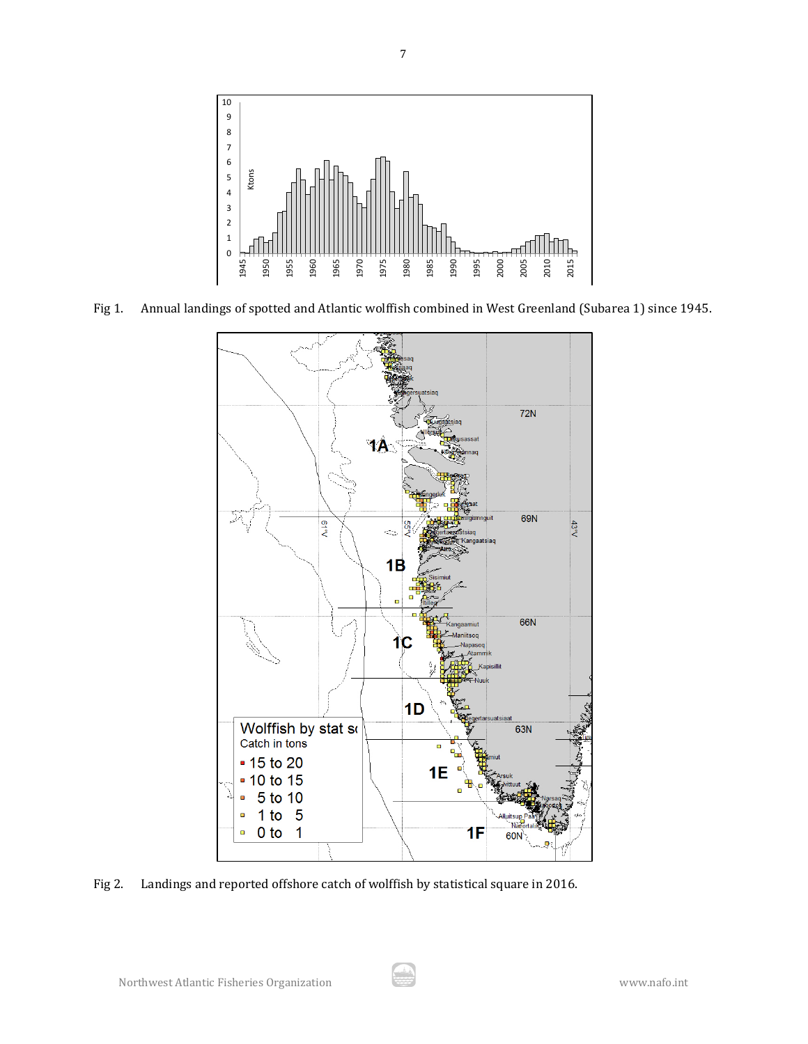

Fig 1. Annual landings of spotted and Atlantic wolffish combined in West Greenland (Subarea 1) since 1945.



Fig 2. Landings and reported offshore catch of wolffish by statistical square in 2016.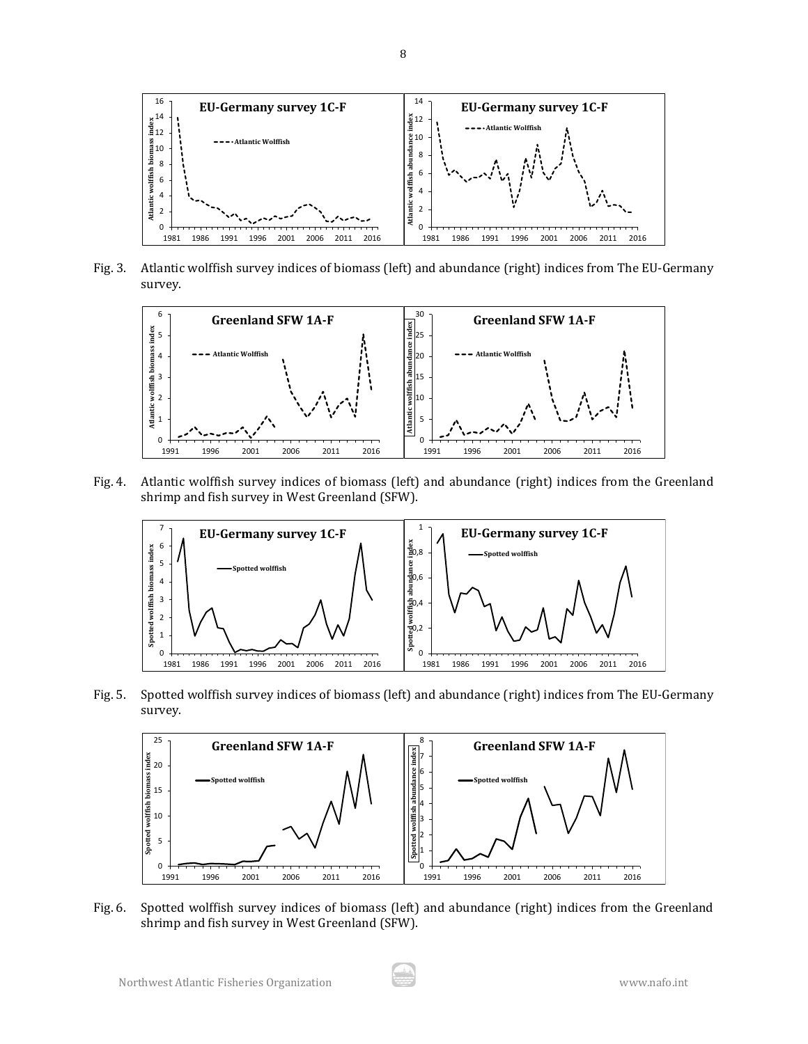

Fig. 3. Atlantic wolffish survey indices of biomass (left) and abundance (right) indices from The EU-Germany survey.



Fig. 4. Atlantic wolffish survey indices of biomass (left) and abundance (right) indices from the Greenland shrimp and fish survey in West Greenland (SFW).



Fig. 5. Spotted wolffish survey indices of biomass (left) and abundance (right) indices from The EU-Germany survey.



Fig. 6. Spotted wolffish survey indices of biomass (left) and abundance (right) indices from the Greenland shrimp and fish survey in West Greenland (SFW).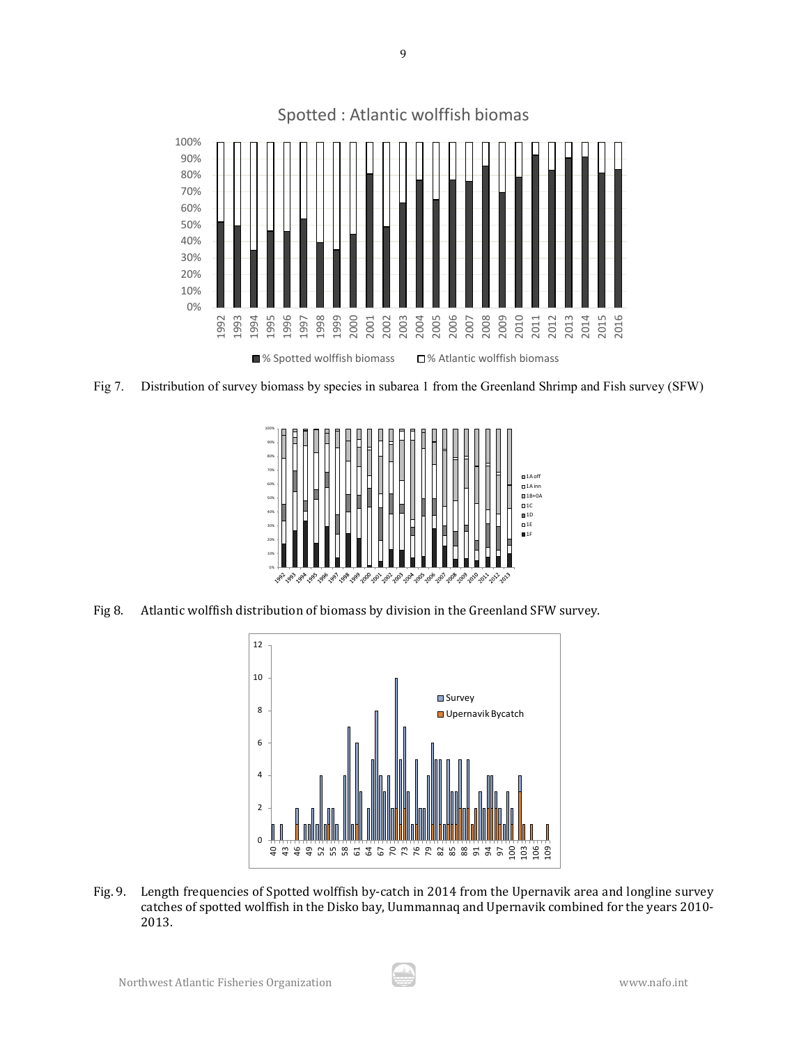

Fig 7. Distribution of survey biomass by species in subarea 1 from the Greenland Shrimp and Fish survey (SFW)



Fig 8. Atlantic wolffish distribution of biomass by division in the Greenland SFW survey.



Fig. 9. Length frequencies of Spotted wolffish by-catch in 2014 from the Upernavik area and longline survey catches of spotted wolffish in the Disko bay, Uummannaq and Upernavik combined for the years 2010- 2013.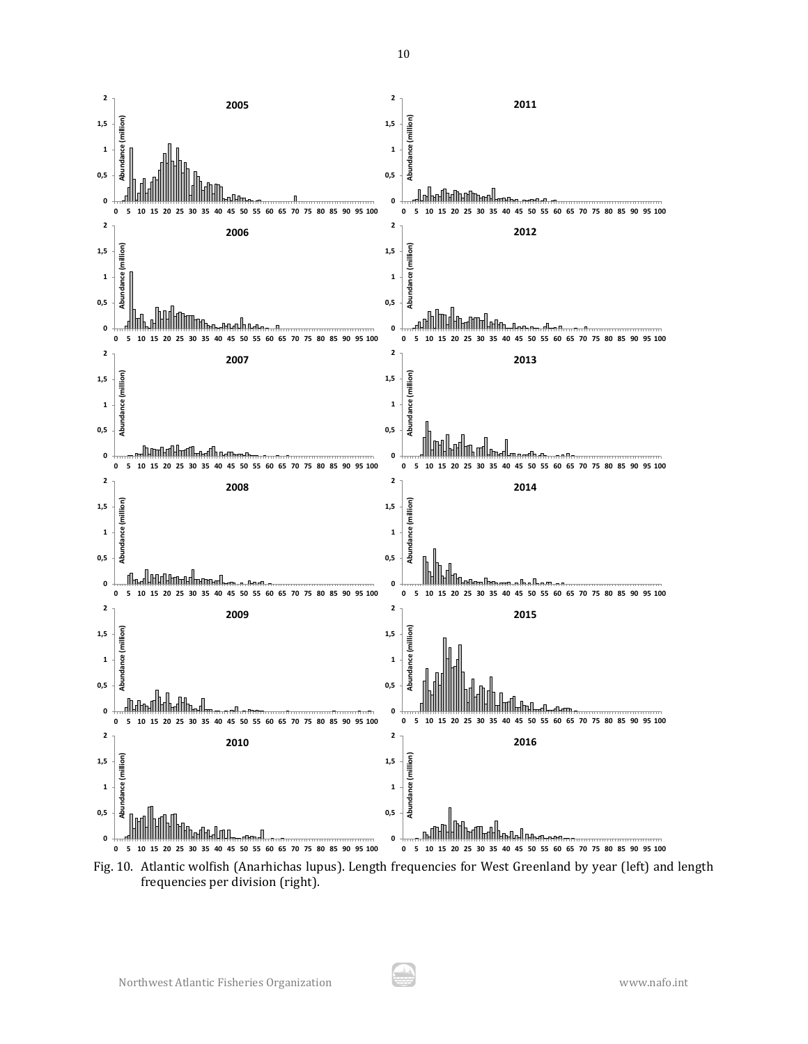